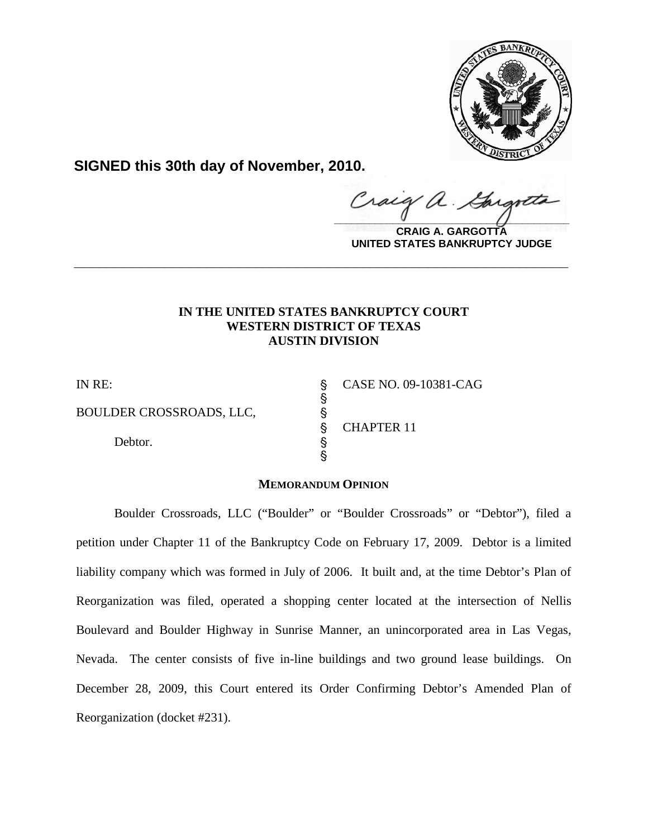

**SIGNED this 30th day of November, 2010.**

Craig  $\hat{\mathcal{A}}$ .  $\frac{1}{2}$ 

**CRAIG A. GARGOTTA UNITED STATES BANKRUPTCY JUDGE**

# **IN THE UNITED STATES BANKRUPTCY COURT WESTERN DISTRICT OF TEXAS AUSTIN DIVISION**

**\_\_\_\_\_\_\_\_\_\_\_\_\_\_\_\_\_\_\_\_\_\_\_\_\_\_\_\_\_\_\_\_\_\_\_\_\_\_\_\_\_\_\_\_\_\_\_\_\_\_\_\_\_\_\_\_\_\_\_\_**

S<br>S

BOULDER CROSSROADS, LLC,  $\S$ <br>Debtor.  $\S$ 

Debtor.

IN RE: ' CASE NO. 09-10381-CAG ' CHAPTER 11

# **MEMORANDUM OPINION**

 $\hat{S}$ 

Boulder Crossroads, LLC ("Boulder" or "Boulder Crossroads" or "Debtor"), filed a petition under Chapter 11 of the Bankruptcy Code on February 17, 2009. Debtor is a limited liability company which was formed in July of 2006. It built and, at the time Debtor's Plan of Reorganization was filed, operated a shopping center located at the intersection of Nellis Boulevard and Boulder Highway in Sunrise Manner, an unincorporated area in Las Vegas, Nevada. The center consists of five in-line buildings and two ground lease buildings. On December 28, 2009, this Court entered its Order Confirming Debtor's Amended Plan of Reorganization (docket #231).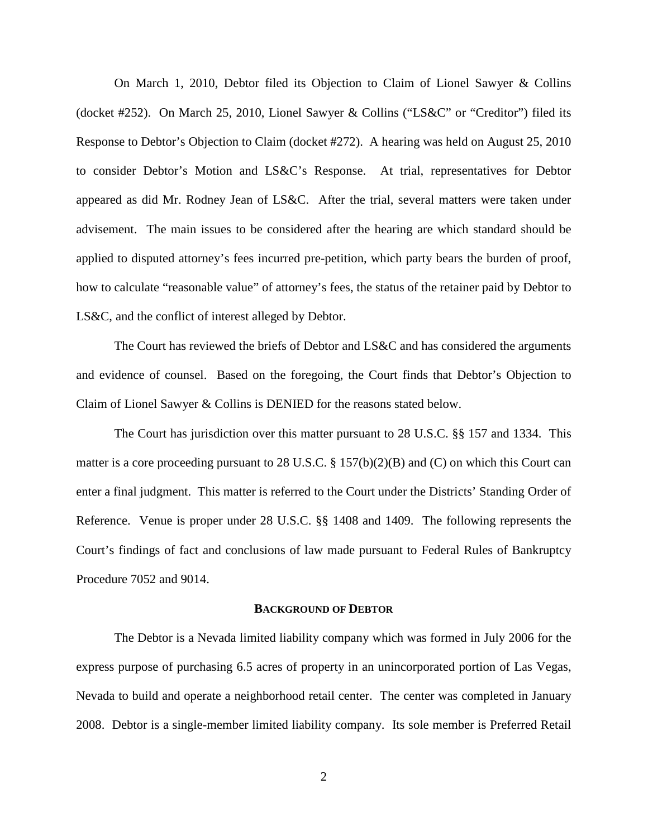On March 1, 2010, Debtor filed its Objection to Claim of Lionel Sawyer & Collins (docket #252). On March 25, 2010, Lionel Sawyer & Collins ("LS&C" or "Creditor") filed its Response to Debtor's Objection to Claim (docket #272). A hearing was held on August 25, 2010 to consider Debtor's Motion and LS&C's Response. At trial, representatives for Debtor appeared as did Mr. Rodney Jean of LS&C. After the trial, several matters were taken under advisement. The main issues to be considered after the hearing are which standard should be applied to disputed attorney's fees incurred pre-petition, which party bears the burden of proof, how to calculate "reasonable value" of attorney's fees, the status of the retainer paid by Debtor to LS&C, and the conflict of interest alleged by Debtor.

The Court has reviewed the briefs of Debtor and LS&C and has considered the arguments and evidence of counsel. Based on the foregoing, the Court finds that Debtor's Objection to Claim of Lionel Sawyer & Collins is DENIED for the reasons stated below.

The Court has jurisdiction over this matter pursuant to 28 U.S.C. §§ 157 and 1334. This matter is a core proceeding pursuant to 28 U.S.C. § 157(b)(2)(B) and (C) on which this Court can enter a final judgment. This matter is referred to the Court under the Districts' Standing Order of Reference. Venue is proper under 28 U.S.C. §§ 1408 and 1409. The following represents the Court's findings of fact and conclusions of law made pursuant to Federal Rules of Bankruptcy Procedure 7052 and 9014.

### **BACKGROUND OF DEBTOR**

The Debtor is a Nevada limited liability company which was formed in July 2006 for the express purpose of purchasing 6.5 acres of property in an unincorporated portion of Las Vegas, Nevada to build and operate a neighborhood retail center. The center was completed in January 2008. Debtor is a single-member limited liability company. Its sole member is Preferred Retail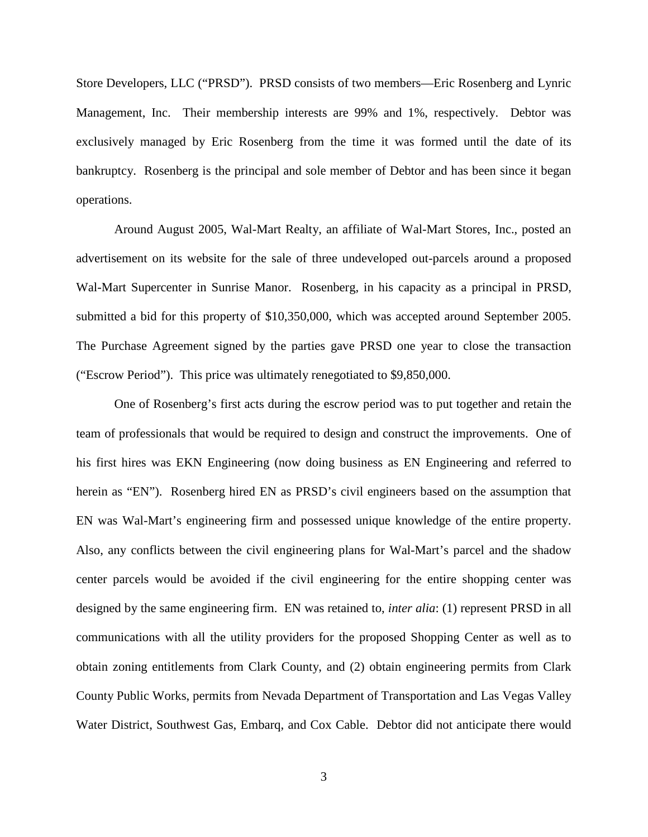Store Developers, LLC ("PRSD"). PRSD consists of two members—Eric Rosenberg and Lynric Management, Inc. Their membership interests are 99% and 1%, respectively. Debtor was exclusively managed by Eric Rosenberg from the time it was formed until the date of its bankruptcy. Rosenberg is the principal and sole member of Debtor and has been since it began operations.

Around August 2005, Wal-Mart Realty, an affiliate of Wal-Mart Stores, Inc., posted an advertisement on its website for the sale of three undeveloped out-parcels around a proposed Wal-Mart Supercenter in Sunrise Manor. Rosenberg, in his capacity as a principal in PRSD, submitted a bid for this property of \$10,350,000, which was accepted around September 2005. The Purchase Agreement signed by the parties gave PRSD one year to close the transaction ("Escrow Period"). This price was ultimately renegotiated to \$9,850,000.

One of Rosenberg's first acts during the escrow period was to put together and retain the team of professionals that would be required to design and construct the improvements. One of his first hires was EKN Engineering (now doing business as EN Engineering and referred to herein as "EN"). Rosenberg hired EN as PRSD's civil engineers based on the assumption that EN was Wal-Mart's engineering firm and possessed unique knowledge of the entire property. Also, any conflicts between the civil engineering plans for Wal-Mart's parcel and the shadow center parcels would be avoided if the civil engineering for the entire shopping center was designed by the same engineering firm. EN was retained to, *inter alia*: (1) represent PRSD in all communications with all the utility providers for the proposed Shopping Center as well as to obtain zoning entitlements from Clark County, and (2) obtain engineering permits from Clark County Public Works, permits from Nevada Department of Transportation and Las Vegas Valley Water District, Southwest Gas, Embarq, and Cox Cable. Debtor did not anticipate there would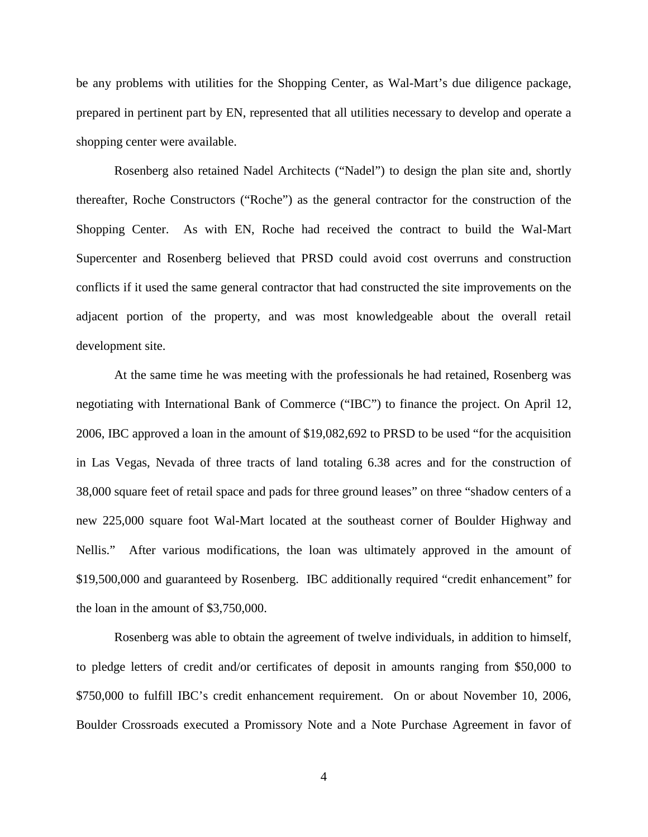be any problems with utilities for the Shopping Center, as Wal-Mart's due diligence package, prepared in pertinent part by EN, represented that all utilities necessary to develop and operate a shopping center were available.

Rosenberg also retained Nadel Architects ("Nadel") to design the plan site and, shortly thereafter, Roche Constructors ("Roche") as the general contractor for the construction of the Shopping Center. As with EN, Roche had received the contract to build the Wal-Mart Supercenter and Rosenberg believed that PRSD could avoid cost overruns and construction conflicts if it used the same general contractor that had constructed the site improvements on the adjacent portion of the property, and was most knowledgeable about the overall retail development site.

At the same time he was meeting with the professionals he had retained, Rosenberg was negotiating with International Bank of Commerce ("IBC") to finance the project. On April 12, 2006, IBC approved a loan in the amount of \$19,082,692 to PRSD to be used "for the acquisition in Las Vegas, Nevada of three tracts of land totaling 6.38 acres and for the construction of 38,000 square feet of retail space and pads for three ground leases" on three "shadow centers of a new 225,000 square foot Wal-Mart located at the southeast corner of Boulder Highway and Nellis." After various modifications, the loan was ultimately approved in the amount of \$19,500,000 and guaranteed by Rosenberg. IBC additionally required "credit enhancement" for the loan in the amount of \$3,750,000.

Rosenberg was able to obtain the agreement of twelve individuals, in addition to himself, to pledge letters of credit and/or certificates of deposit in amounts ranging from \$50,000 to \$750,000 to fulfill IBC's credit enhancement requirement. On or about November 10, 2006, Boulder Crossroads executed a Promissory Note and a Note Purchase Agreement in favor of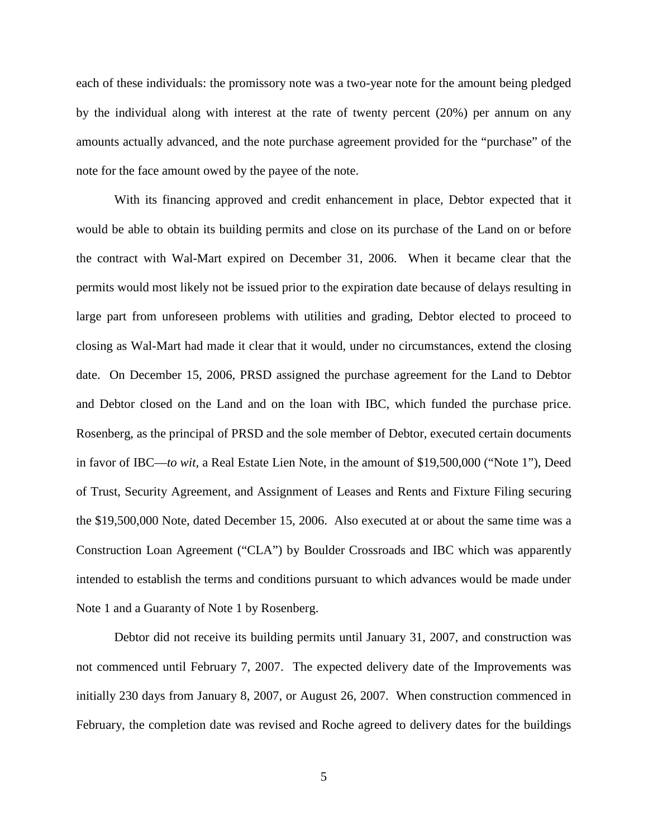each of these individuals: the promissory note was a two-year note for the amount being pledged by the individual along with interest at the rate of twenty percent (20%) per annum on any amounts actually advanced, and the note purchase agreement provided for the "purchase" of the note for the face amount owed by the payee of the note.

With its financing approved and credit enhancement in place, Debtor expected that it would be able to obtain its building permits and close on its purchase of the Land on or before the contract with Wal-Mart expired on December 31, 2006. When it became clear that the permits would most likely not be issued prior to the expiration date because of delays resulting in large part from unforeseen problems with utilities and grading, Debtor elected to proceed to closing as Wal-Mart had made it clear that it would, under no circumstances, extend the closing date. On December 15, 2006, PRSD assigned the purchase agreement for the Land to Debtor and Debtor closed on the Land and on the loan with IBC, which funded the purchase price. Rosenberg, as the principal of PRSD and the sole member of Debtor, executed certain documents in favor of IBC—*to wit,* a Real Estate Lien Note, in the amount of \$19,500,000 ("Note 1"), Deed of Trust, Security Agreement, and Assignment of Leases and Rents and Fixture Filing securing the \$19,500,000 Note, dated December 15, 2006. Also executed at or about the same time was a Construction Loan Agreement ("CLA") by Boulder Crossroads and IBC which was apparently intended to establish the terms and conditions pursuant to which advances would be made under Note 1 and a Guaranty of Note 1 by Rosenberg.

Debtor did not receive its building permits until January 31, 2007, and construction was not commenced until February 7, 2007. The expected delivery date of the Improvements was initially 230 days from January 8, 2007, or August 26, 2007. When construction commenced in February, the completion date was revised and Roche agreed to delivery dates for the buildings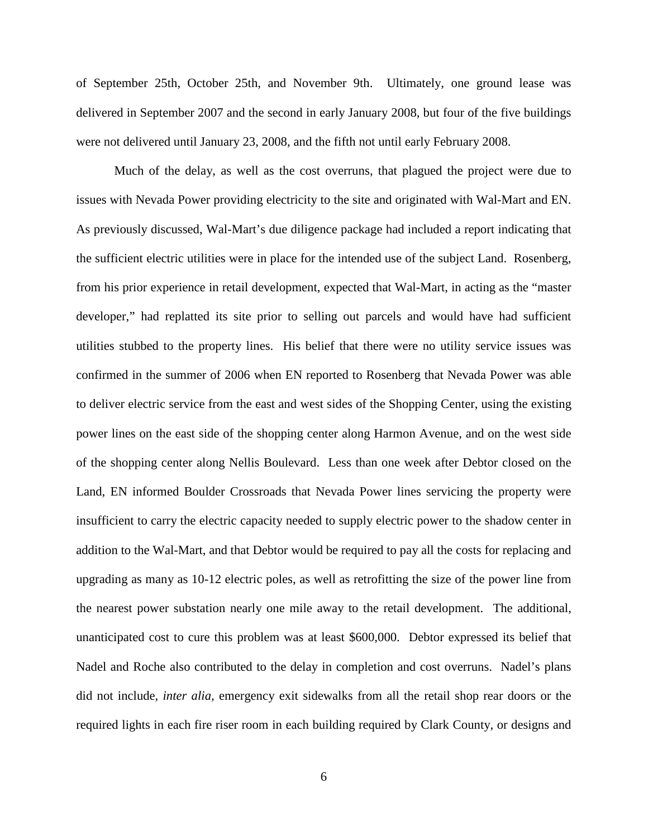of September 25th, October 25th, and November 9th. Ultimately, one ground lease was delivered in September 2007 and the second in early January 2008, but four of the five buildings were not delivered until January 23, 2008, and the fifth not until early February 2008.

Much of the delay, as well as the cost overruns, that plagued the project were due to issues with Nevada Power providing electricity to the site and originated with Wal-Mart and EN. As previously discussed, Wal-Mart's due diligence package had included a report indicating that the sufficient electric utilities were in place for the intended use of the subject Land. Rosenberg, from his prior experience in retail development, expected that Wal-Mart, in acting as the "master developer," had replatted its site prior to selling out parcels and would have had sufficient utilities stubbed to the property lines. His belief that there were no utility service issues was confirmed in the summer of 2006 when EN reported to Rosenberg that Nevada Power was able to deliver electric service from the east and west sides of the Shopping Center, using the existing power lines on the east side of the shopping center along Harmon Avenue, and on the west side of the shopping center along Nellis Boulevard. Less than one week after Debtor closed on the Land, EN informed Boulder Crossroads that Nevada Power lines servicing the property were insufficient to carry the electric capacity needed to supply electric power to the shadow center in addition to the Wal-Mart, and that Debtor would be required to pay all the costs for replacing and upgrading as many as 10-12 electric poles, as well as retrofitting the size of the power line from the nearest power substation nearly one mile away to the retail development. The additional, unanticipated cost to cure this problem was at least \$600,000. Debtor expressed its belief that Nadel and Roche also contributed to the delay in completion and cost overruns. Nadel's plans did not include, *inter alia,* emergency exit sidewalks from all the retail shop rear doors or the required lights in each fire riser room in each building required by Clark County, or designs and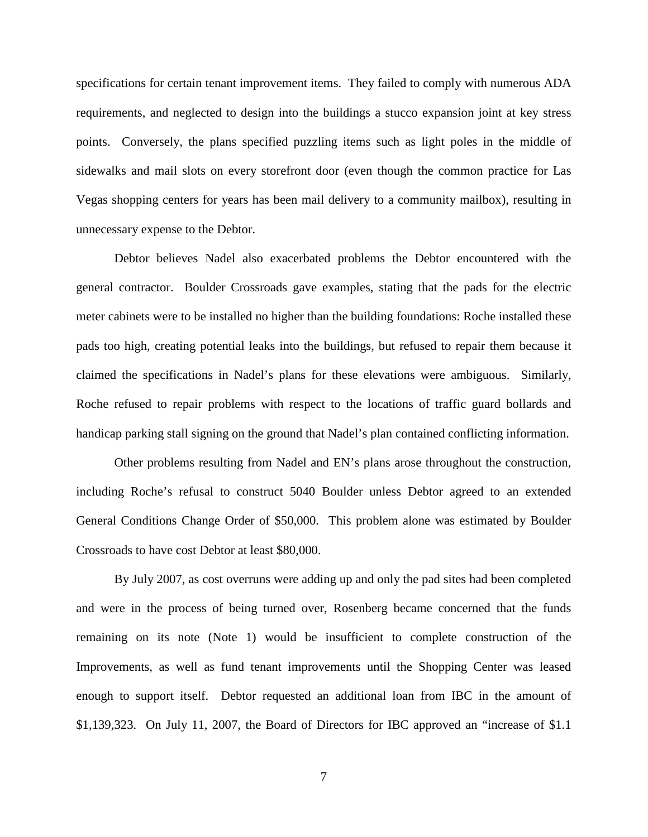specifications for certain tenant improvement items. They failed to comply with numerous ADA requirements, and neglected to design into the buildings a stucco expansion joint at key stress points. Conversely, the plans specified puzzling items such as light poles in the middle of sidewalks and mail slots on every storefront door (even though the common practice for Las Vegas shopping centers for years has been mail delivery to a community mailbox), resulting in unnecessary expense to the Debtor.

Debtor believes Nadel also exacerbated problems the Debtor encountered with the general contractor. Boulder Crossroads gave examples, stating that the pads for the electric meter cabinets were to be installed no higher than the building foundations: Roche installed these pads too high, creating potential leaks into the buildings, but refused to repair them because it claimed the specifications in Nadel's plans for these elevations were ambiguous. Similarly, Roche refused to repair problems with respect to the locations of traffic guard bollards and handicap parking stall signing on the ground that Nadel's plan contained conflicting information.

Other problems resulting from Nadel and EN's plans arose throughout the construction, including Roche's refusal to construct 5040 Boulder unless Debtor agreed to an extended General Conditions Change Order of \$50,000. This problem alone was estimated by Boulder Crossroads to have cost Debtor at least \$80,000.

By July 2007, as cost overruns were adding up and only the pad sites had been completed and were in the process of being turned over, Rosenberg became concerned that the funds remaining on its note (Note 1) would be insufficient to complete construction of the Improvements, as well as fund tenant improvements until the Shopping Center was leased enough to support itself. Debtor requested an additional loan from IBC in the amount of \$1,139,323. On July 11, 2007, the Board of Directors for IBC approved an "increase of \$1.1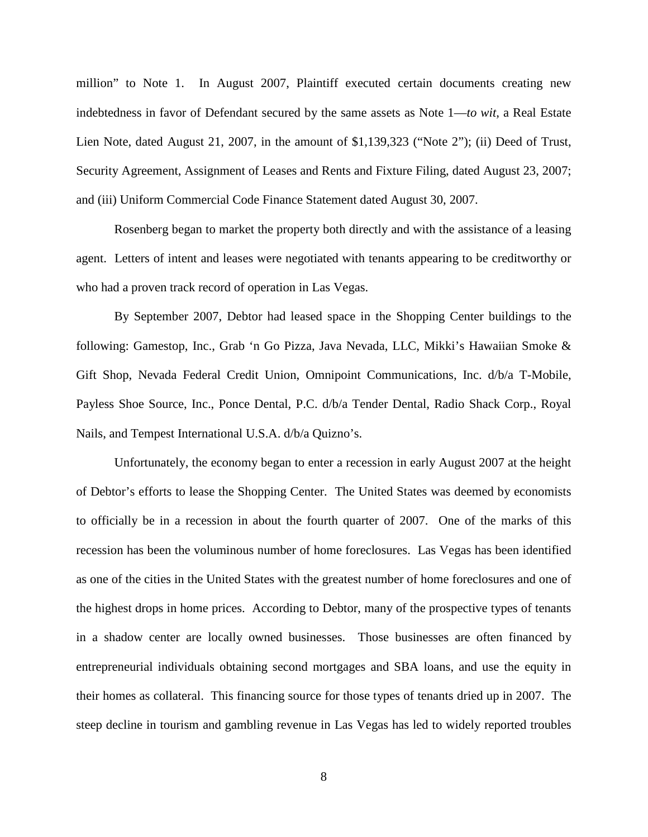million" to Note 1. In August 2007, Plaintiff executed certain documents creating new indebtedness in favor of Defendant secured by the same assets as Note 1—*to wit,* a Real Estate Lien Note, dated August 21, 2007, in the amount of \$1,139,323 ("Note 2"); (ii) Deed of Trust, Security Agreement, Assignment of Leases and Rents and Fixture Filing, dated August 23, 2007; and (iii) Uniform Commercial Code Finance Statement dated August 30, 2007.

Rosenberg began to market the property both directly and with the assistance of a leasing agent. Letters of intent and leases were negotiated with tenants appearing to be creditworthy or who had a proven track record of operation in Las Vegas.

By September 2007, Debtor had leased space in the Shopping Center buildings to the following: Gamestop, Inc., Grab 'n Go Pizza, Java Nevada, LLC, Mikki's Hawaiian Smoke & Gift Shop, Nevada Federal Credit Union, Omnipoint Communications, Inc. d/b/a T-Mobile, Payless Shoe Source, Inc., Ponce Dental, P.C. d/b/a Tender Dental, Radio Shack Corp., Royal Nails, and Tempest International U.S.A. d/b/a Quizno's.

Unfortunately, the economy began to enter a recession in early August 2007 at the height of Debtor's efforts to lease the Shopping Center. The United States was deemed by economists to officially be in a recession in about the fourth quarter of 2007. One of the marks of this recession has been the voluminous number of home foreclosures. Las Vegas has been identified as one of the cities in the United States with the greatest number of home foreclosures and one of the highest drops in home prices. According to Debtor, many of the prospective types of tenants in a shadow center are locally owned businesses. Those businesses are often financed by entrepreneurial individuals obtaining second mortgages and SBA loans, and use the equity in their homes as collateral. This financing source for those types of tenants dried up in 2007. The steep decline in tourism and gambling revenue in Las Vegas has led to widely reported troubles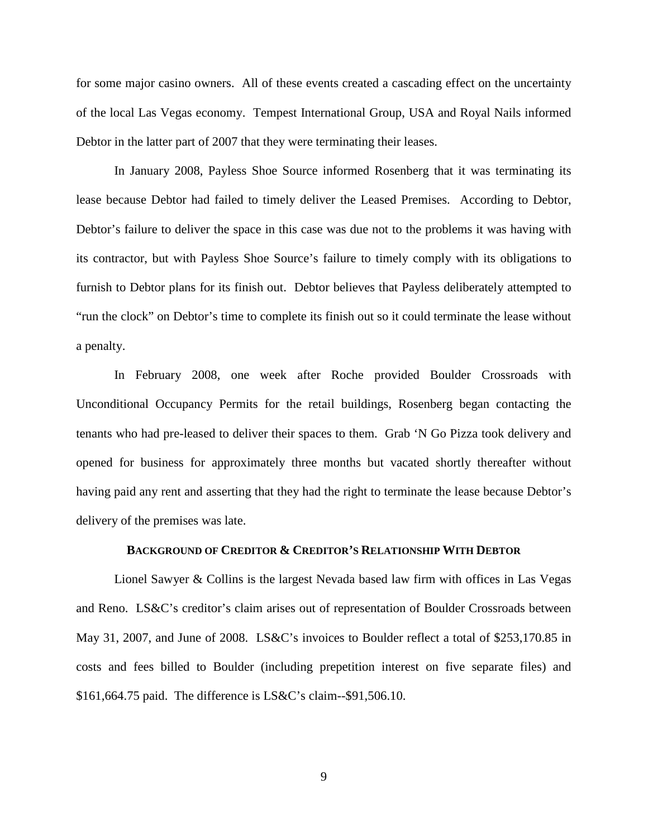for some major casino owners. All of these events created a cascading effect on the uncertainty of the local Las Vegas economy. Tempest International Group, USA and Royal Nails informed Debtor in the latter part of 2007 that they were terminating their leases.

In January 2008, Payless Shoe Source informed Rosenberg that it was terminating its lease because Debtor had failed to timely deliver the Leased Premises. According to Debtor, Debtor's failure to deliver the space in this case was due not to the problems it was having with its contractor, but with Payless Shoe Source's failure to timely comply with its obligations to furnish to Debtor plans for its finish out. Debtor believes that Payless deliberately attempted to "run the clock" on Debtor's time to complete its finish out so it could terminate the lease without a penalty.

In February 2008, one week after Roche provided Boulder Crossroads with Unconditional Occupancy Permits for the retail buildings, Rosenberg began contacting the tenants who had pre-leased to deliver their spaces to them. Grab 'N Go Pizza took delivery and opened for business for approximately three months but vacated shortly thereafter without having paid any rent and asserting that they had the right to terminate the lease because Debtor's delivery of the premises was late.

### **BACKGROUND OF CREDITOR & CREDITOR'S RELATIONSHIP WITH DEBTOR**

Lionel Sawyer & Collins is the largest Nevada based law firm with offices in Las Vegas and Reno. LS&C's creditor's claim arises out of representation of Boulder Crossroads between May 31, 2007, and June of 2008. LS&C's invoices to Boulder reflect a total of \$253,170.85 in costs and fees billed to Boulder (including prepetition interest on five separate files) and \$161,664.75 paid. The difference is LS&C's claim--\$91,506.10.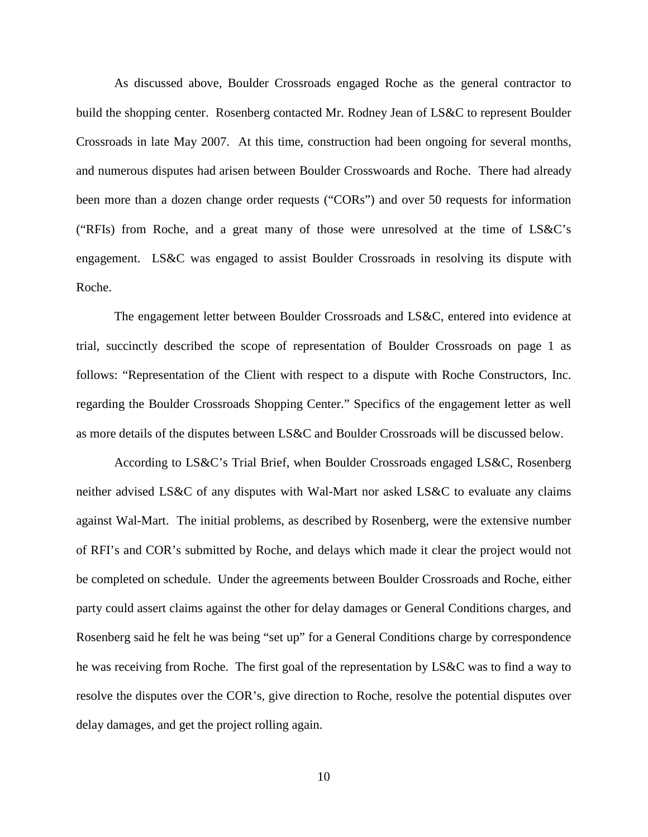As discussed above, Boulder Crossroads engaged Roche as the general contractor to build the shopping center. Rosenberg contacted Mr. Rodney Jean of LS&C to represent Boulder Crossroads in late May 2007. At this time, construction had been ongoing for several months, and numerous disputes had arisen between Boulder Crosswoards and Roche. There had already been more than a dozen change order requests ("CORs") and over 50 requests for information ("RFIs) from Roche, and a great many of those were unresolved at the time of LS&C's engagement. LS&C was engaged to assist Boulder Crossroads in resolving its dispute with Roche.

The engagement letter between Boulder Crossroads and LS&C, entered into evidence at trial, succinctly described the scope of representation of Boulder Crossroads on page 1 as follows: "Representation of the Client with respect to a dispute with Roche Constructors, Inc. regarding the Boulder Crossroads Shopping Center." Specifics of the engagement letter as well as more details of the disputes between LS&C and Boulder Crossroads will be discussed below.

According to LS&C's Trial Brief, when Boulder Crossroads engaged LS&C, Rosenberg neither advised LS&C of any disputes with Wal-Mart nor asked LS&C to evaluate any claims against Wal-Mart. The initial problems, as described by Rosenberg, were the extensive number of RFI's and COR's submitted by Roche, and delays which made it clear the project would not be completed on schedule. Under the agreements between Boulder Crossroads and Roche, either party could assert claims against the other for delay damages or General Conditions charges, and Rosenberg said he felt he was being "set up" for a General Conditions charge by correspondence he was receiving from Roche. The first goal of the representation by LS&C was to find a way to resolve the disputes over the COR's, give direction to Roche, resolve the potential disputes over delay damages, and get the project rolling again.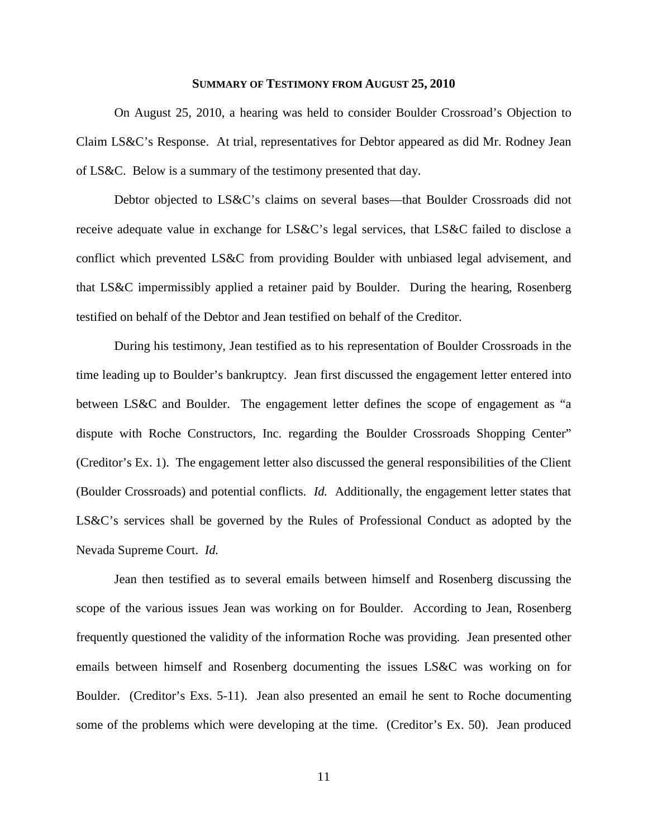### **SUMMARY OF TESTIMONY FROM AUGUST 25, 2010**

On August 25, 2010, a hearing was held to consider Boulder Crossroad's Objection to Claim LS&C's Response. At trial, representatives for Debtor appeared as did Mr. Rodney Jean of LS&C. Below is a summary of the testimony presented that day.

Debtor objected to LS&C's claims on several bases—that Boulder Crossroads did not receive adequate value in exchange for LS&C's legal services, that LS&C failed to disclose a conflict which prevented LS&C from providing Boulder with unbiased legal advisement, and that LS&C impermissibly applied a retainer paid by Boulder. During the hearing, Rosenberg testified on behalf of the Debtor and Jean testified on behalf of the Creditor.

During his testimony, Jean testified as to his representation of Boulder Crossroads in the time leading up to Boulder's bankruptcy. Jean first discussed the engagement letter entered into between LS&C and Boulder. The engagement letter defines the scope of engagement as "a dispute with Roche Constructors, Inc. regarding the Boulder Crossroads Shopping Center" (Creditor's Ex. 1). The engagement letter also discussed the general responsibilities of the Client (Boulder Crossroads) and potential conflicts. *Id.* Additionally, the engagement letter states that LS&C's services shall be governed by the Rules of Professional Conduct as adopted by the Nevada Supreme Court. *Id.*

Jean then testified as to several emails between himself and Rosenberg discussing the scope of the various issues Jean was working on for Boulder. According to Jean, Rosenberg frequently questioned the validity of the information Roche was providing. Jean presented other emails between himself and Rosenberg documenting the issues LS&C was working on for Boulder. (Creditor's Exs. 5-11). Jean also presented an email he sent to Roche documenting some of the problems which were developing at the time. (Creditor's Ex. 50). Jean produced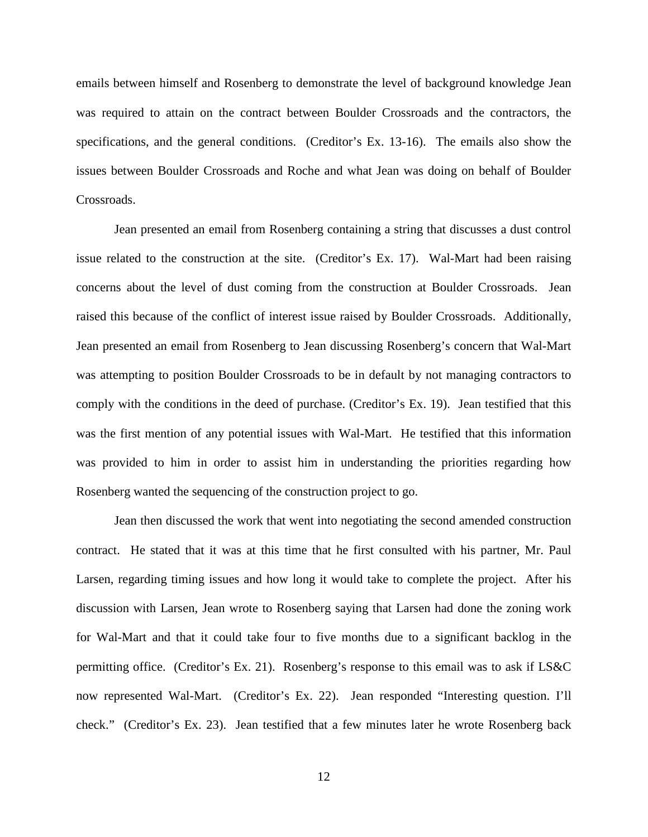emails between himself and Rosenberg to demonstrate the level of background knowledge Jean was required to attain on the contract between Boulder Crossroads and the contractors, the specifications, and the general conditions. (Creditor's Ex. 13-16). The emails also show the issues between Boulder Crossroads and Roche and what Jean was doing on behalf of Boulder Crossroads.

Jean presented an email from Rosenberg containing a string that discusses a dust control issue related to the construction at the site. (Creditor's Ex. 17). Wal-Mart had been raising concerns about the level of dust coming from the construction at Boulder Crossroads. Jean raised this because of the conflict of interest issue raised by Boulder Crossroads. Additionally, Jean presented an email from Rosenberg to Jean discussing Rosenberg's concern that Wal-Mart was attempting to position Boulder Crossroads to be in default by not managing contractors to comply with the conditions in the deed of purchase. (Creditor's Ex. 19). Jean testified that this was the first mention of any potential issues with Wal-Mart. He testified that this information was provided to him in order to assist him in understanding the priorities regarding how Rosenberg wanted the sequencing of the construction project to go.

Jean then discussed the work that went into negotiating the second amended construction contract. He stated that it was at this time that he first consulted with his partner, Mr. Paul Larsen, regarding timing issues and how long it would take to complete the project. After his discussion with Larsen, Jean wrote to Rosenberg saying that Larsen had done the zoning work for Wal-Mart and that it could take four to five months due to a significant backlog in the permitting office. (Creditor's Ex. 21). Rosenberg's response to this email was to ask if LS&C now represented Wal-Mart. (Creditor's Ex. 22). Jean responded "Interesting question. I'll check." (Creditor's Ex. 23). Jean testified that a few minutes later he wrote Rosenberg back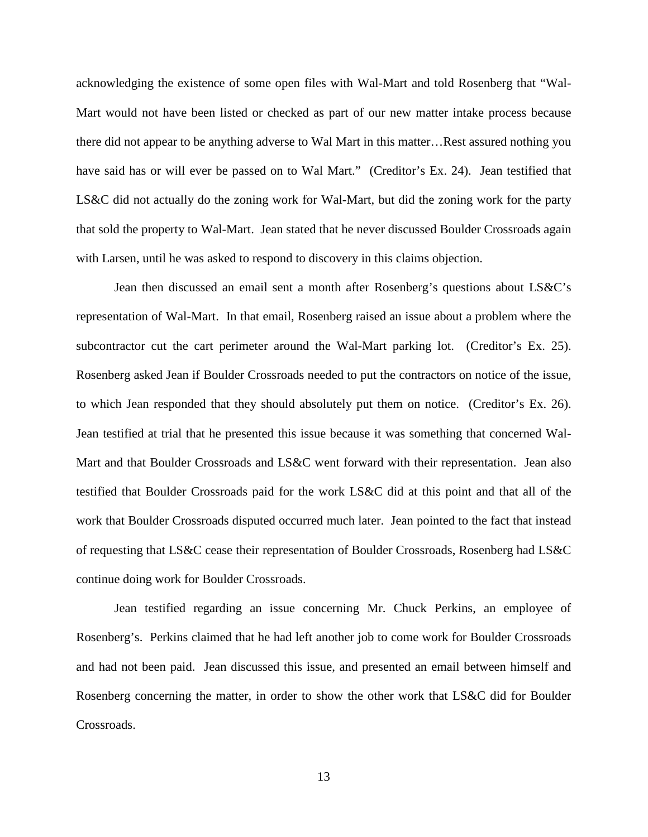acknowledging the existence of some open files with Wal-Mart and told Rosenberg that "Wal-Mart would not have been listed or checked as part of our new matter intake process because there did not appear to be anything adverse to Wal Mart in this matter…Rest assured nothing you have said has or will ever be passed on to Wal Mart." (Creditor's Ex. 24). Jean testified that LS&C did not actually do the zoning work for Wal-Mart, but did the zoning work for the party that sold the property to Wal-Mart. Jean stated that he never discussed Boulder Crossroads again with Larsen, until he was asked to respond to discovery in this claims objection.

Jean then discussed an email sent a month after Rosenberg's questions about LS&C's representation of Wal-Mart. In that email, Rosenberg raised an issue about a problem where the subcontractor cut the cart perimeter around the Wal-Mart parking lot. (Creditor's Ex. 25). Rosenberg asked Jean if Boulder Crossroads needed to put the contractors on notice of the issue, to which Jean responded that they should absolutely put them on notice. (Creditor's Ex. 26). Jean testified at trial that he presented this issue because it was something that concerned Wal-Mart and that Boulder Crossroads and LS&C went forward with their representation. Jean also testified that Boulder Crossroads paid for the work LS&C did at this point and that all of the work that Boulder Crossroads disputed occurred much later. Jean pointed to the fact that instead of requesting that LS&C cease their representation of Boulder Crossroads, Rosenberg had LS&C continue doing work for Boulder Crossroads.

Jean testified regarding an issue concerning Mr. Chuck Perkins, an employee of Rosenberg's. Perkins claimed that he had left another job to come work for Boulder Crossroads and had not been paid. Jean discussed this issue, and presented an email between himself and Rosenberg concerning the matter, in order to show the other work that LS&C did for Boulder Crossroads.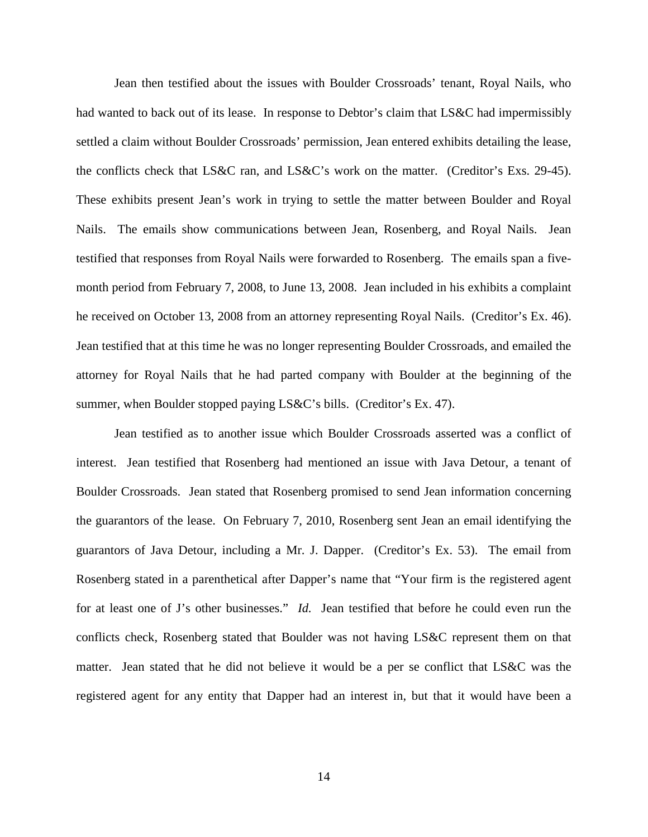Jean then testified about the issues with Boulder Crossroads' tenant, Royal Nails, who had wanted to back out of its lease. In response to Debtor's claim that LS&C had impermissibly settled a claim without Boulder Crossroads' permission, Jean entered exhibits detailing the lease, the conflicts check that LS&C ran, and LS&C's work on the matter. (Creditor's Exs. 29-45). These exhibits present Jean's work in trying to settle the matter between Boulder and Royal Nails. The emails show communications between Jean, Rosenberg, and Royal Nails. Jean testified that responses from Royal Nails were forwarded to Rosenberg. The emails span a fivemonth period from February 7, 2008, to June 13, 2008. Jean included in his exhibits a complaint he received on October 13, 2008 from an attorney representing Royal Nails. (Creditor's Ex. 46). Jean testified that at this time he was no longer representing Boulder Crossroads, and emailed the attorney for Royal Nails that he had parted company with Boulder at the beginning of the summer, when Boulder stopped paying LS&C's bills. (Creditor's Ex. 47).

Jean testified as to another issue which Boulder Crossroads asserted was a conflict of interest. Jean testified that Rosenberg had mentioned an issue with Java Detour, a tenant of Boulder Crossroads. Jean stated that Rosenberg promised to send Jean information concerning the guarantors of the lease. On February 7, 2010, Rosenberg sent Jean an email identifying the guarantors of Java Detour, including a Mr. J. Dapper. (Creditor's Ex. 53). The email from Rosenberg stated in a parenthetical after Dapper's name that "Your firm is the registered agent for at least one of J's other businesses." *Id.* Jean testified that before he could even run the conflicts check, Rosenberg stated that Boulder was not having LS&C represent them on that matter. Jean stated that he did not believe it would be a per se conflict that LS&C was the registered agent for any entity that Dapper had an interest in, but that it would have been a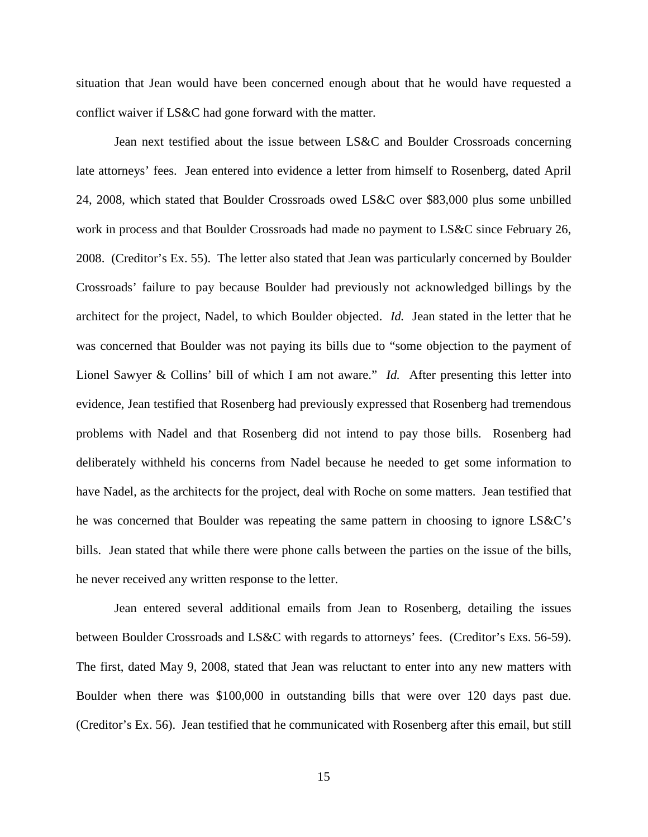situation that Jean would have been concerned enough about that he would have requested a conflict waiver if LS&C had gone forward with the matter.

Jean next testified about the issue between LS&C and Boulder Crossroads concerning late attorneys' fees. Jean entered into evidence a letter from himself to Rosenberg, dated April 24, 2008, which stated that Boulder Crossroads owed LS&C over \$83,000 plus some unbilled work in process and that Boulder Crossroads had made no payment to LS&C since February 26, 2008. (Creditor's Ex. 55). The letter also stated that Jean was particularly concerned by Boulder Crossroads' failure to pay because Boulder had previously not acknowledged billings by the architect for the project, Nadel, to which Boulder objected. *Id.* Jean stated in the letter that he was concerned that Boulder was not paying its bills due to "some objection to the payment of Lionel Sawyer & Collins' bill of which I am not aware." *Id.* After presenting this letter into evidence, Jean testified that Rosenberg had previously expressed that Rosenberg had tremendous problems with Nadel and that Rosenberg did not intend to pay those bills. Rosenberg had deliberately withheld his concerns from Nadel because he needed to get some information to have Nadel, as the architects for the project, deal with Roche on some matters. Jean testified that he was concerned that Boulder was repeating the same pattern in choosing to ignore LS&C's bills. Jean stated that while there were phone calls between the parties on the issue of the bills, he never received any written response to the letter.

Jean entered several additional emails from Jean to Rosenberg, detailing the issues between Boulder Crossroads and LS&C with regards to attorneys' fees. (Creditor's Exs. 56-59). The first, dated May 9, 2008, stated that Jean was reluctant to enter into any new matters with Boulder when there was \$100,000 in outstanding bills that were over 120 days past due. (Creditor's Ex. 56). Jean testified that he communicated with Rosenberg after this email, but still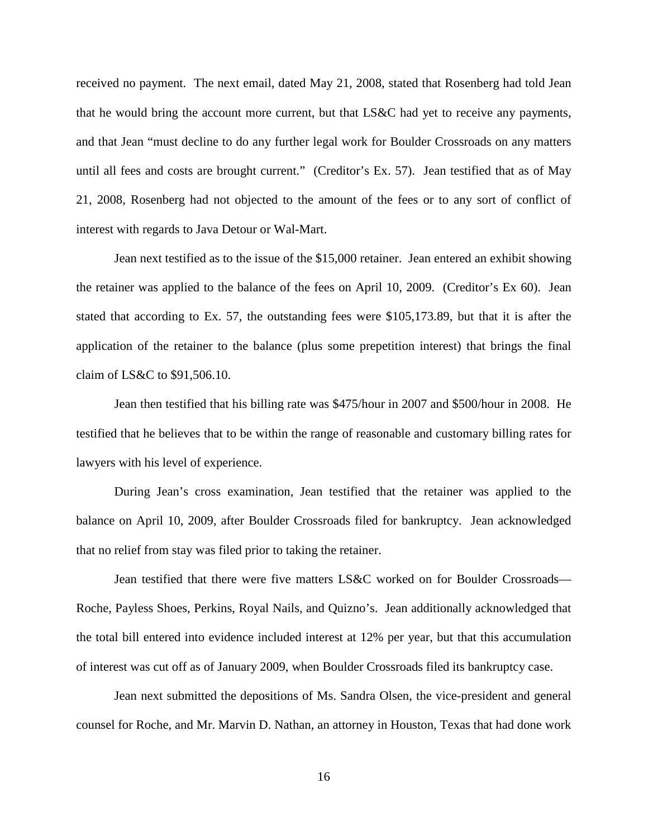received no payment. The next email, dated May 21, 2008, stated that Rosenberg had told Jean that he would bring the account more current, but that LS&C had yet to receive any payments, and that Jean "must decline to do any further legal work for Boulder Crossroads on any matters until all fees and costs are brought current." (Creditor's Ex. 57). Jean testified that as of May 21, 2008, Rosenberg had not objected to the amount of the fees or to any sort of conflict of interest with regards to Java Detour or Wal-Mart.

Jean next testified as to the issue of the \$15,000 retainer. Jean entered an exhibit showing the retainer was applied to the balance of the fees on April 10, 2009. (Creditor's Ex 60). Jean stated that according to Ex. 57, the outstanding fees were \$105,173.89, but that it is after the application of the retainer to the balance (plus some prepetition interest) that brings the final claim of LS&C to \$91,506.10.

Jean then testified that his billing rate was \$475/hour in 2007 and \$500/hour in 2008. He testified that he believes that to be within the range of reasonable and customary billing rates for lawyers with his level of experience.

During Jean's cross examination, Jean testified that the retainer was applied to the balance on April 10, 2009, after Boulder Crossroads filed for bankruptcy. Jean acknowledged that no relief from stay was filed prior to taking the retainer.

Jean testified that there were five matters LS&C worked on for Boulder Crossroads— Roche, Payless Shoes, Perkins, Royal Nails, and Quizno's. Jean additionally acknowledged that the total bill entered into evidence included interest at 12% per year, but that this accumulation of interest was cut off as of January 2009, when Boulder Crossroads filed its bankruptcy case.

Jean next submitted the depositions of Ms. Sandra Olsen, the vice-president and general counsel for Roche, and Mr. Marvin D. Nathan, an attorney in Houston, Texas that had done work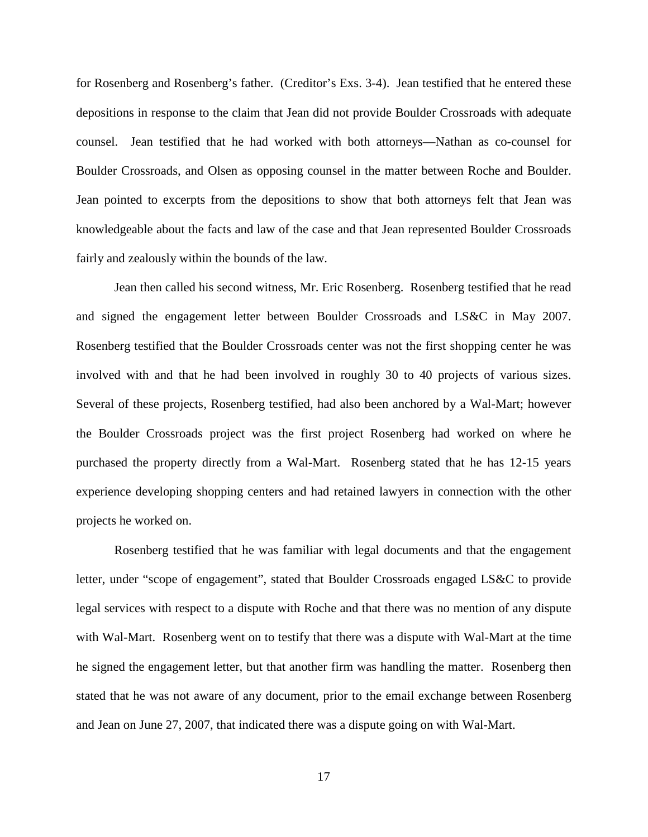for Rosenberg and Rosenberg's father. (Creditor's Exs. 3-4). Jean testified that he entered these depositions in response to the claim that Jean did not provide Boulder Crossroads with adequate counsel. Jean testified that he had worked with both attorneys—Nathan as co-counsel for Boulder Crossroads, and Olsen as opposing counsel in the matter between Roche and Boulder. Jean pointed to excerpts from the depositions to show that both attorneys felt that Jean was knowledgeable about the facts and law of the case and that Jean represented Boulder Crossroads fairly and zealously within the bounds of the law.

Jean then called his second witness, Mr. Eric Rosenberg. Rosenberg testified that he read and signed the engagement letter between Boulder Crossroads and LS&C in May 2007. Rosenberg testified that the Boulder Crossroads center was not the first shopping center he was involved with and that he had been involved in roughly 30 to 40 projects of various sizes. Several of these projects, Rosenberg testified, had also been anchored by a Wal-Mart; however the Boulder Crossroads project was the first project Rosenberg had worked on where he purchased the property directly from a Wal-Mart. Rosenberg stated that he has 12-15 years experience developing shopping centers and had retained lawyers in connection with the other projects he worked on.

Rosenberg testified that he was familiar with legal documents and that the engagement letter, under "scope of engagement", stated that Boulder Crossroads engaged LS&C to provide legal services with respect to a dispute with Roche and that there was no mention of any dispute with Wal-Mart. Rosenberg went on to testify that there was a dispute with Wal-Mart at the time he signed the engagement letter, but that another firm was handling the matter. Rosenberg then stated that he was not aware of any document, prior to the email exchange between Rosenberg and Jean on June 27, 2007, that indicated there was a dispute going on with Wal-Mart.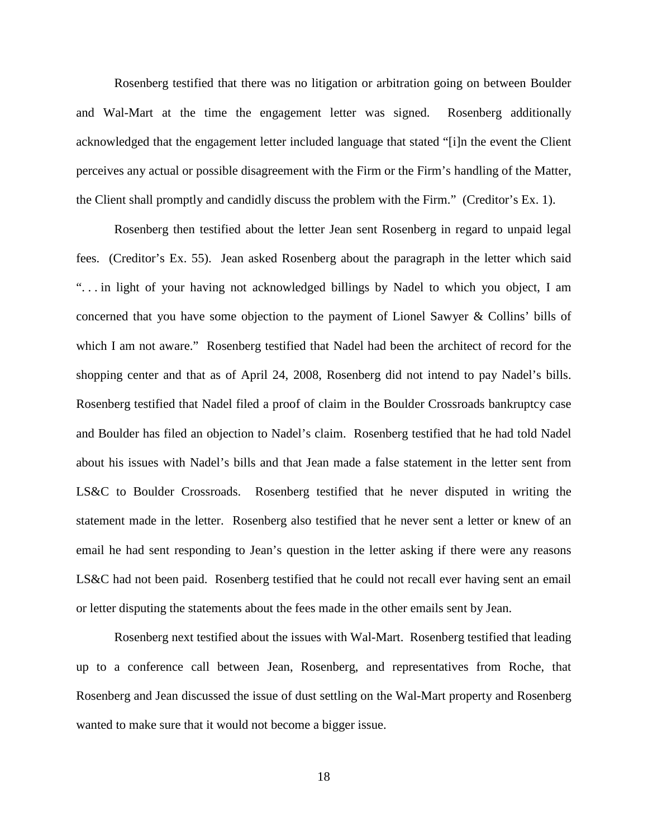Rosenberg testified that there was no litigation or arbitration going on between Boulder and Wal-Mart at the time the engagement letter was signed. Rosenberg additionally acknowledged that the engagement letter included language that stated "[i]n the event the Client perceives any actual or possible disagreement with the Firm or the Firm's handling of the Matter, the Client shall promptly and candidly discuss the problem with the Firm." (Creditor's Ex. 1).

Rosenberg then testified about the letter Jean sent Rosenberg in regard to unpaid legal fees. (Creditor's Ex. 55). Jean asked Rosenberg about the paragraph in the letter which said ". . . in light of your having not acknowledged billings by Nadel to which you object, I am concerned that you have some objection to the payment of Lionel Sawyer & Collins' bills of which I am not aware." Rosenberg testified that Nadel had been the architect of record for the shopping center and that as of April 24, 2008, Rosenberg did not intend to pay Nadel's bills. Rosenberg testified that Nadel filed a proof of claim in the Boulder Crossroads bankruptcy case and Boulder has filed an objection to Nadel's claim. Rosenberg testified that he had told Nadel about his issues with Nadel's bills and that Jean made a false statement in the letter sent from LS&C to Boulder Crossroads. Rosenberg testified that he never disputed in writing the statement made in the letter. Rosenberg also testified that he never sent a letter or knew of an email he had sent responding to Jean's question in the letter asking if there were any reasons LS&C had not been paid. Rosenberg testified that he could not recall ever having sent an email or letter disputing the statements about the fees made in the other emails sent by Jean.

Rosenberg next testified about the issues with Wal-Mart. Rosenberg testified that leading up to a conference call between Jean, Rosenberg, and representatives from Roche, that Rosenberg and Jean discussed the issue of dust settling on the Wal-Mart property and Rosenberg wanted to make sure that it would not become a bigger issue.

18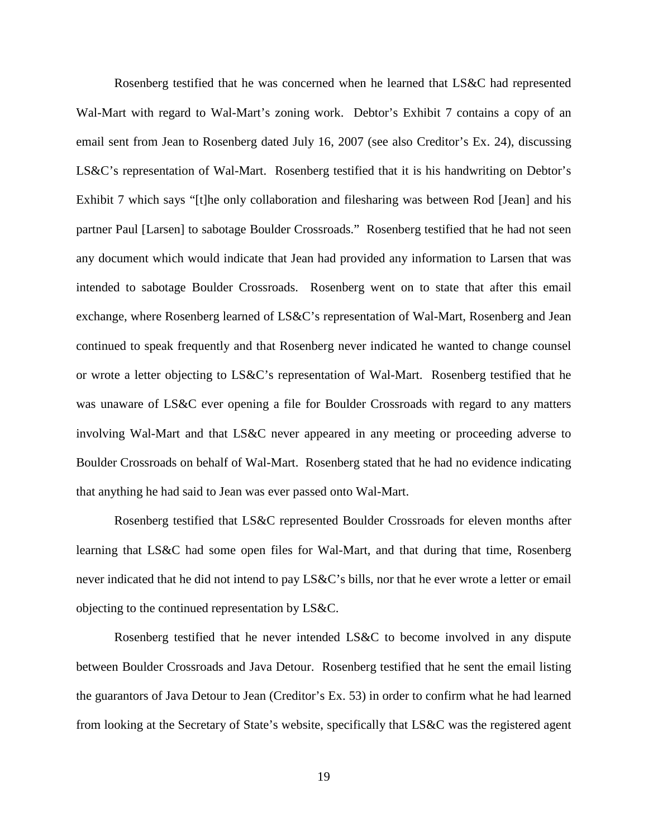Rosenberg testified that he was concerned when he learned that LS&C had represented Wal-Mart with regard to Wal-Mart's zoning work. Debtor's Exhibit 7 contains a copy of an email sent from Jean to Rosenberg dated July 16, 2007 (see also Creditor's Ex. 24), discussing LS&C's representation of Wal-Mart. Rosenberg testified that it is his handwriting on Debtor's Exhibit 7 which says "[t]he only collaboration and filesharing was between Rod [Jean] and his partner Paul [Larsen] to sabotage Boulder Crossroads." Rosenberg testified that he had not seen any document which would indicate that Jean had provided any information to Larsen that was intended to sabotage Boulder Crossroads. Rosenberg went on to state that after this email exchange, where Rosenberg learned of LS&C's representation of Wal-Mart, Rosenberg and Jean continued to speak frequently and that Rosenberg never indicated he wanted to change counsel or wrote a letter objecting to LS&C's representation of Wal-Mart. Rosenberg testified that he was unaware of LS&C ever opening a file for Boulder Crossroads with regard to any matters involving Wal-Mart and that LS&C never appeared in any meeting or proceeding adverse to Boulder Crossroads on behalf of Wal-Mart. Rosenberg stated that he had no evidence indicating that anything he had said to Jean was ever passed onto Wal-Mart.

Rosenberg testified that LS&C represented Boulder Crossroads for eleven months after learning that LS&C had some open files for Wal-Mart, and that during that time, Rosenberg never indicated that he did not intend to pay LS&C's bills, nor that he ever wrote a letter or email objecting to the continued representation by LS&C.

Rosenberg testified that he never intended LS&C to become involved in any dispute between Boulder Crossroads and Java Detour. Rosenberg testified that he sent the email listing the guarantors of Java Detour to Jean (Creditor's Ex. 53) in order to confirm what he had learned from looking at the Secretary of State's website, specifically that LS&C was the registered agent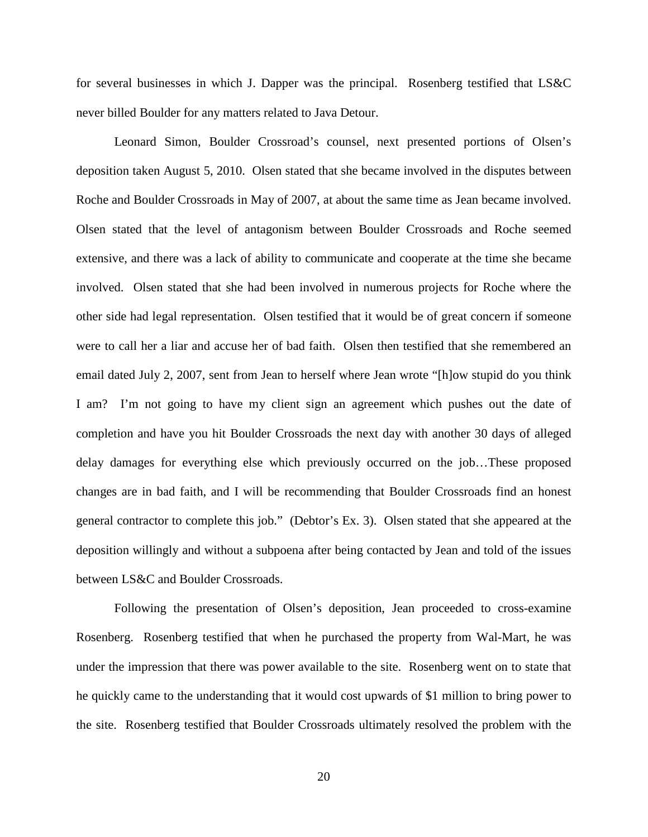for several businesses in which J. Dapper was the principal. Rosenberg testified that LS&C never billed Boulder for any matters related to Java Detour.

Leonard Simon, Boulder Crossroad's counsel, next presented portions of Olsen's deposition taken August 5, 2010. Olsen stated that she became involved in the disputes between Roche and Boulder Crossroads in May of 2007, at about the same time as Jean became involved. Olsen stated that the level of antagonism between Boulder Crossroads and Roche seemed extensive, and there was a lack of ability to communicate and cooperate at the time she became involved. Olsen stated that she had been involved in numerous projects for Roche where the other side had legal representation. Olsen testified that it would be of great concern if someone were to call her a liar and accuse her of bad faith. Olsen then testified that she remembered an email dated July 2, 2007, sent from Jean to herself where Jean wrote "[h]ow stupid do you think I am? I'm not going to have my client sign an agreement which pushes out the date of completion and have you hit Boulder Crossroads the next day with another 30 days of alleged delay damages for everything else which previously occurred on the job…These proposed changes are in bad faith, and I will be recommending that Boulder Crossroads find an honest general contractor to complete this job." (Debtor's Ex. 3). Olsen stated that she appeared at the deposition willingly and without a subpoena after being contacted by Jean and told of the issues between LS&C and Boulder Crossroads.

Following the presentation of Olsen's deposition, Jean proceeded to cross-examine Rosenberg. Rosenberg testified that when he purchased the property from Wal-Mart, he was under the impression that there was power available to the site. Rosenberg went on to state that he quickly came to the understanding that it would cost upwards of \$1 million to bring power to the site. Rosenberg testified that Boulder Crossroads ultimately resolved the problem with the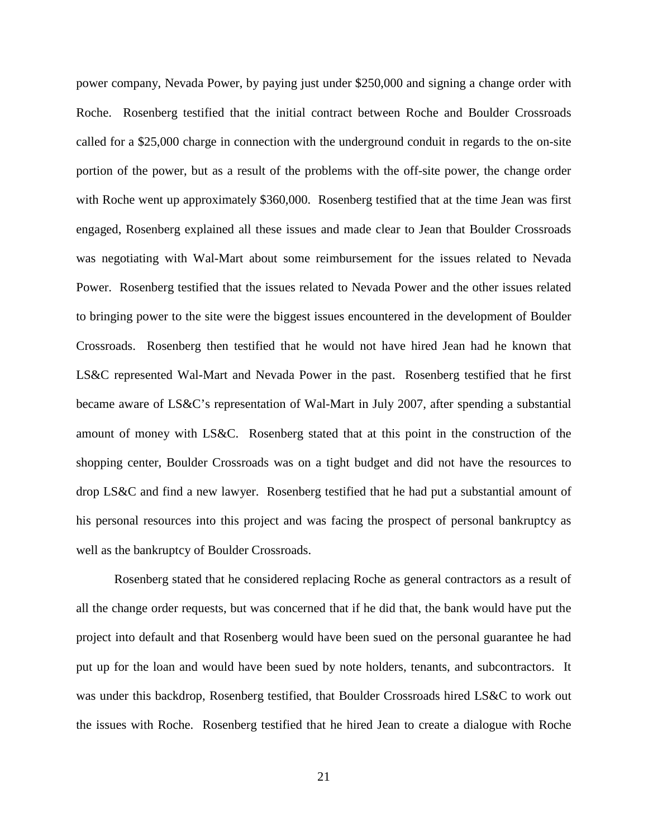power company, Nevada Power, by paying just under \$250,000 and signing a change order with Roche. Rosenberg testified that the initial contract between Roche and Boulder Crossroads called for a \$25,000 charge in connection with the underground conduit in regards to the on-site portion of the power, but as a result of the problems with the off-site power, the change order with Roche went up approximately \$360,000. Rosenberg testified that at the time Jean was first engaged, Rosenberg explained all these issues and made clear to Jean that Boulder Crossroads was negotiating with Wal-Mart about some reimbursement for the issues related to Nevada Power. Rosenberg testified that the issues related to Nevada Power and the other issues related to bringing power to the site were the biggest issues encountered in the development of Boulder Crossroads. Rosenberg then testified that he would not have hired Jean had he known that LS&C represented Wal-Mart and Nevada Power in the past. Rosenberg testified that he first became aware of LS&C's representation of Wal-Mart in July 2007, after spending a substantial amount of money with LS&C. Rosenberg stated that at this point in the construction of the shopping center, Boulder Crossroads was on a tight budget and did not have the resources to drop LS&C and find a new lawyer. Rosenberg testified that he had put a substantial amount of his personal resources into this project and was facing the prospect of personal bankruptcy as well as the bankruptcy of Boulder Crossroads.

Rosenberg stated that he considered replacing Roche as general contractors as a result of all the change order requests, but was concerned that if he did that, the bank would have put the project into default and that Rosenberg would have been sued on the personal guarantee he had put up for the loan and would have been sued by note holders, tenants, and subcontractors. It was under this backdrop, Rosenberg testified, that Boulder Crossroads hired LS&C to work out the issues with Roche. Rosenberg testified that he hired Jean to create a dialogue with Roche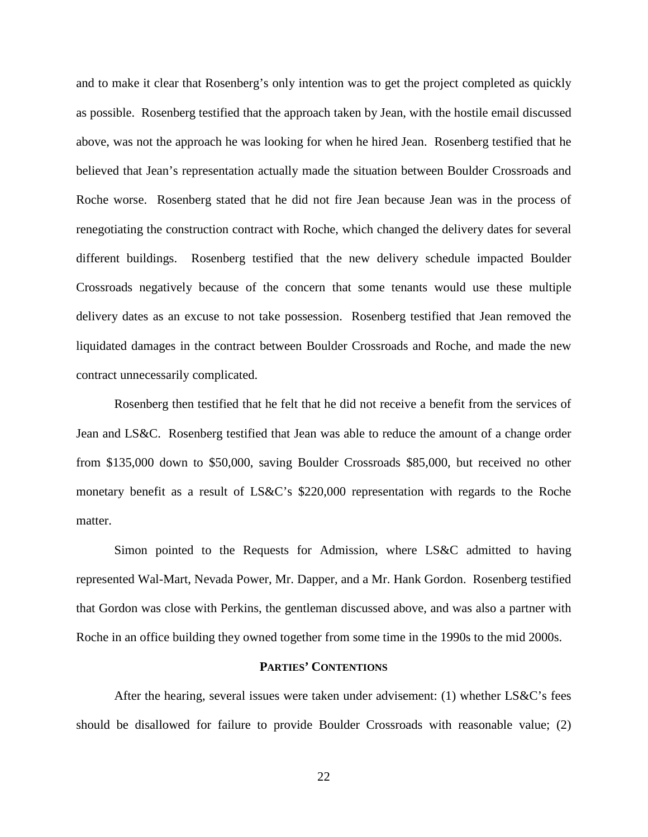and to make it clear that Rosenberg's only intention was to get the project completed as quickly as possible. Rosenberg testified that the approach taken by Jean, with the hostile email discussed above, was not the approach he was looking for when he hired Jean. Rosenberg testified that he believed that Jean's representation actually made the situation between Boulder Crossroads and Roche worse. Rosenberg stated that he did not fire Jean because Jean was in the process of renegotiating the construction contract with Roche, which changed the delivery dates for several different buildings. Rosenberg testified that the new delivery schedule impacted Boulder Crossroads negatively because of the concern that some tenants would use these multiple delivery dates as an excuse to not take possession. Rosenberg testified that Jean removed the liquidated damages in the contract between Boulder Crossroads and Roche, and made the new contract unnecessarily complicated.

Rosenberg then testified that he felt that he did not receive a benefit from the services of Jean and LS&C. Rosenberg testified that Jean was able to reduce the amount of a change order from \$135,000 down to \$50,000, saving Boulder Crossroads \$85,000, but received no other monetary benefit as a result of LS&C's \$220,000 representation with regards to the Roche matter.

Simon pointed to the Requests for Admission, where LS&C admitted to having represented Wal-Mart, Nevada Power, Mr. Dapper, and a Mr. Hank Gordon. Rosenberg testified that Gordon was close with Perkins, the gentleman discussed above, and was also a partner with Roche in an office building they owned together from some time in the 1990s to the mid 2000s.

## **PARTIES' CONTENTIONS**

After the hearing, several issues were taken under advisement: (1) whether LS&C's fees should be disallowed for failure to provide Boulder Crossroads with reasonable value; (2)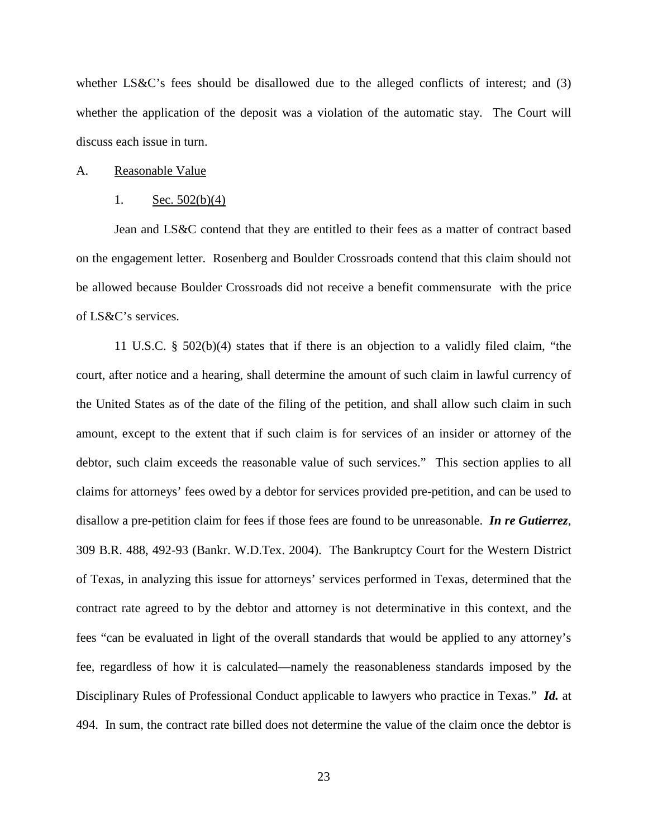whether LS&C's fees should be disallowed due to the alleged conflicts of interest; and (3) whether the application of the deposit was a violation of the automatic stay. The Court will discuss each issue in turn.

#### A. Reasonable Value

#### 1. Sec. 502(b)(4)

Jean and LS&C contend that they are entitled to their fees as a matter of contract based on the engagement letter. Rosenberg and Boulder Crossroads contend that this claim should not be allowed because Boulder Crossroads did not receive a benefit commensurate with the price of LS&C's services.

11 U.S.C. § 502(b)(4) states that if there is an objection to a validly filed claim, "the court, after notice and a hearing, shall determine the amount of such claim in lawful currency of the United States as of the date of the filing of the petition, and shall allow such claim in such amount, except to the extent that if such claim is for services of an insider or attorney of the debtor, such claim exceeds the reasonable value of such services." This section applies to all claims for attorneys' fees owed by a debtor for services provided pre-petition, and can be used to disallow a pre-petition claim for fees if those fees are found to be unreasonable. *In re Gutierrez*, 309 B.R. 488, 492-93 (Bankr. W.D.Tex. 2004). The Bankruptcy Court for the Western District of Texas, in analyzing this issue for attorneys' services performed in Texas, determined that the contract rate agreed to by the debtor and attorney is not determinative in this context, and the fees "can be evaluated in light of the overall standards that would be applied to any attorney's fee, regardless of how it is calculated—namely the reasonableness standards imposed by the Disciplinary Rules of Professional Conduct applicable to lawyers who practice in Texas." *Id.* at 494. In sum, the contract rate billed does not determine the value of the claim once the debtor is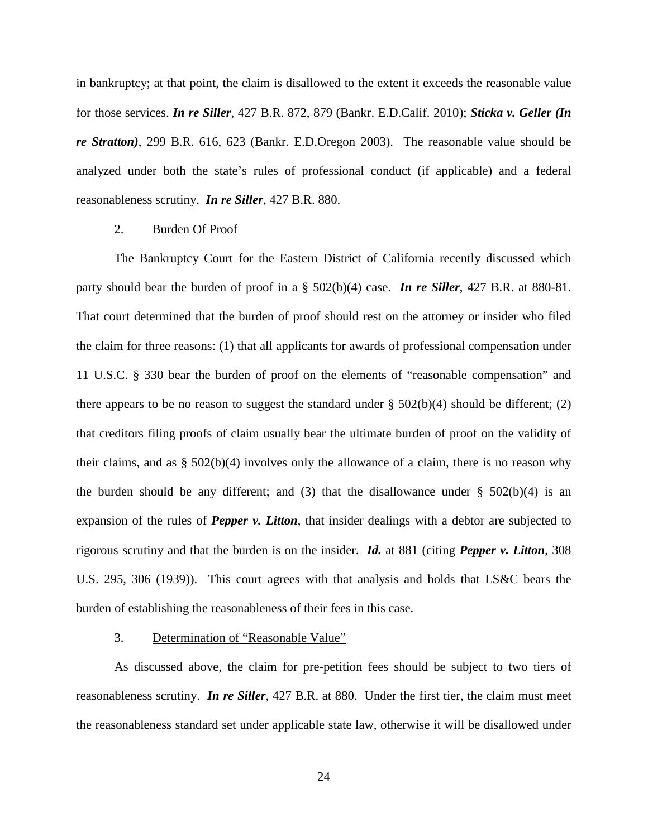in bankruptcy; at that point, the claim is disallowed to the extent it exceeds the reasonable value for those services. *In re Siller*, 427 B.R. 872, 879 (Bankr. E.D.Calif. 2010); *Sticka v. Geller (In re Stratton)*, 299 B.R. 616, 623 (Bankr. E.D.Oregon 2003). The reasonable value should be analyzed under both the state's rules of professional conduct (if applicable) and a federal reasonableness scrutiny. *In re Siller*, 427 B.R. 880.

#### 2. Burden Of Proof

The Bankruptcy Court for the Eastern District of California recently discussed which party should bear the burden of proof in a § 502(b)(4) case. *In re Siller*, 427 B.R. at 880-81. That court determined that the burden of proof should rest on the attorney or insider who filed the claim for three reasons: (1) that all applicants for awards of professional compensation under 11 U.S.C. § 330 bear the burden of proof on the elements of "reasonable compensation" and there appears to be no reason to suggest the standard under  $\S$  502(b)(4) should be different; (2) that creditors filing proofs of claim usually bear the ultimate burden of proof on the validity of their claims, and as  $\S 502(b)(4)$  involves only the allowance of a claim, there is no reason why the burden should be any different; and (3) that the disallowance under  $\S$  502(b)(4) is an expansion of the rules of *Pepper v. Litton*, that insider dealings with a debtor are subjected to rigorous scrutiny and that the burden is on the insider. *Id.* at 881 (citing *Pepper v. Litton*, 308 U.S. 295, 306 (1939)). This court agrees with that analysis and holds that LS&C bears the burden of establishing the reasonableness of their fees in this case.

#### 3. Determination of "Reasonable Value"

As discussed above, the claim for pre-petition fees should be subject to two tiers of reasonableness scrutiny. *In re Siller*, 427 B.R. at 880. Under the first tier, the claim must meet the reasonableness standard set under applicable state law, otherwise it will be disallowed under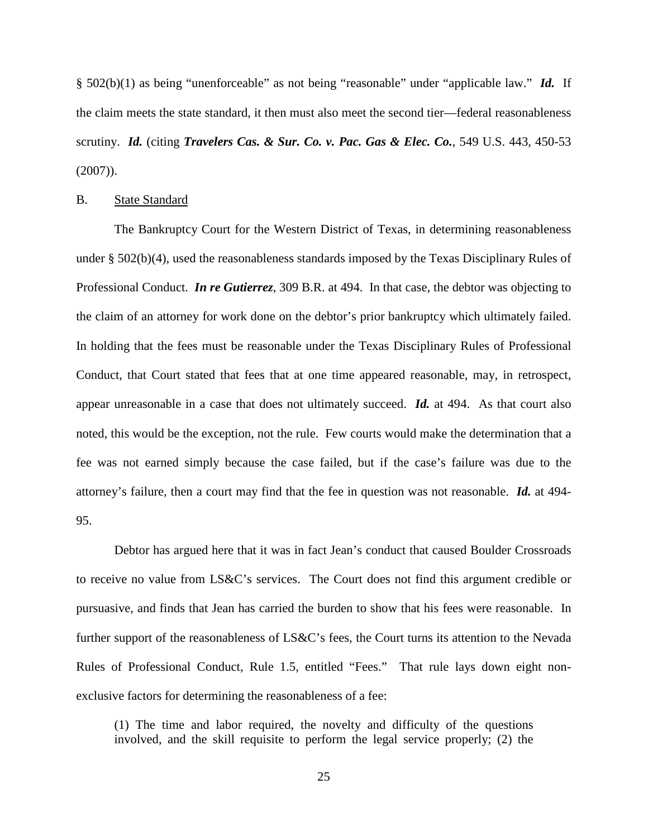§ 502(b)(1) as being "unenforceable" as not being "reasonable" under "applicable law." *Id.* If the claim meets the state standard, it then must also meet the second tier—federal reasonableness scrutiny. *Id.* (citing *Travelers Cas. & Sur. Co. v. Pac. Gas & Elec. Co.*, 549 U.S. 443, 450-53 (2007)).

#### B. State Standard

The Bankruptcy Court for the Western District of Texas, in determining reasonableness under § 502(b)(4), used the reasonableness standards imposed by the Texas Disciplinary Rules of Professional Conduct. *In re Gutierrez*, 309 B.R. at 494. In that case, the debtor was objecting to the claim of an attorney for work done on the debtor's prior bankruptcy which ultimately failed. In holding that the fees must be reasonable under the Texas Disciplinary Rules of Professional Conduct, that Court stated that fees that at one time appeared reasonable, may, in retrospect, appear unreasonable in a case that does not ultimately succeed. *Id.* at 494. As that court also noted, this would be the exception, not the rule. Few courts would make the determination that a fee was not earned simply because the case failed, but if the case's failure was due to the attorney's failure, then a court may find that the fee in question was not reasonable. *Id.* at 494- 95.

Debtor has argued here that it was in fact Jean's conduct that caused Boulder Crossroads to receive no value from LS&C's services. The Court does not find this argument credible or pursuasive, and finds that Jean has carried the burden to show that his fees were reasonable. In further support of the reasonableness of LS&C's fees, the Court turns its attention to the Nevada Rules of Professional Conduct, Rule 1.5, entitled "Fees." That rule lays down eight nonexclusive factors for determining the reasonableness of a fee:

(1) The time and labor required, the novelty and difficulty of the questions involved, and the skill requisite to perform the legal service properly; (2) the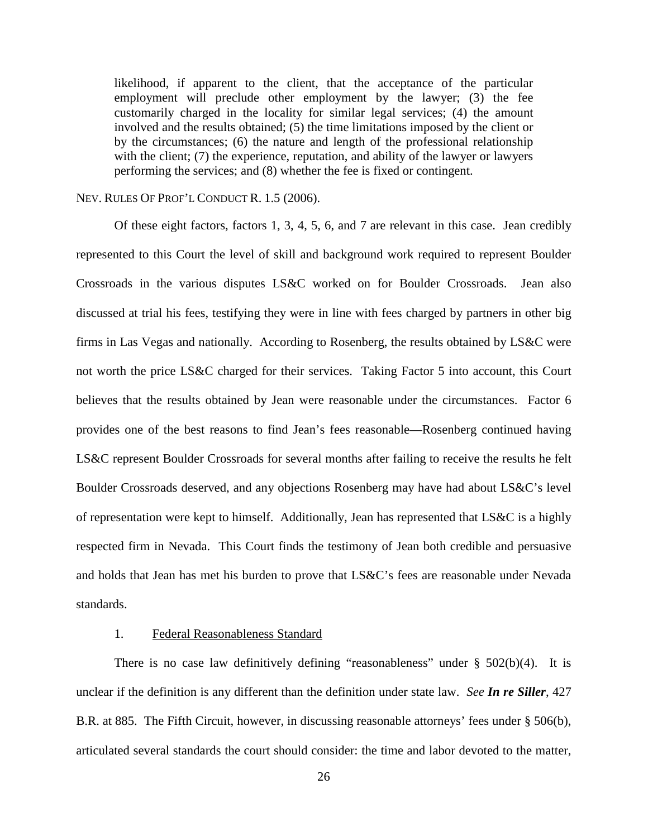likelihood, if apparent to the client, that the acceptance of the particular employment will preclude other employment by the lawyer; (3) the fee customarily charged in the locality for similar legal services; (4) the amount involved and the results obtained; (5) the time limitations imposed by the client or by the circumstances; (6) the nature and length of the professional relationship with the client; (7) the experience, reputation, and ability of the lawyer or lawyers performing the services; and (8) whether the fee is fixed or contingent.

## NEV. RULES OF PROF'L CONDUCT R. 1.5 (2006).

Of these eight factors, factors 1, 3, 4, 5, 6, and 7 are relevant in this case. Jean credibly represented to this Court the level of skill and background work required to represent Boulder Crossroads in the various disputes LS&C worked on for Boulder Crossroads. Jean also discussed at trial his fees, testifying they were in line with fees charged by partners in other big firms in Las Vegas and nationally. According to Rosenberg, the results obtained by LS&C were not worth the price LS&C charged for their services. Taking Factor 5 into account, this Court believes that the results obtained by Jean were reasonable under the circumstances. Factor 6 provides one of the best reasons to find Jean's fees reasonable—Rosenberg continued having LS&C represent Boulder Crossroads for several months after failing to receive the results he felt Boulder Crossroads deserved, and any objections Rosenberg may have had about LS&C's level of representation were kept to himself. Additionally, Jean has represented that LS&C is a highly respected firm in Nevada. This Court finds the testimony of Jean both credible and persuasive and holds that Jean has met his burden to prove that LS&C's fees are reasonable under Nevada standards.

#### 1. Federal Reasonableness Standard

There is no case law definitively defining "reasonableness" under  $\S$  502(b)(4). It is unclear if the definition is any different than the definition under state law. *See In re Siller*, 427 B.R. at 885. The Fifth Circuit, however, in discussing reasonable attorneys' fees under § 506(b), articulated several standards the court should consider: the time and labor devoted to the matter,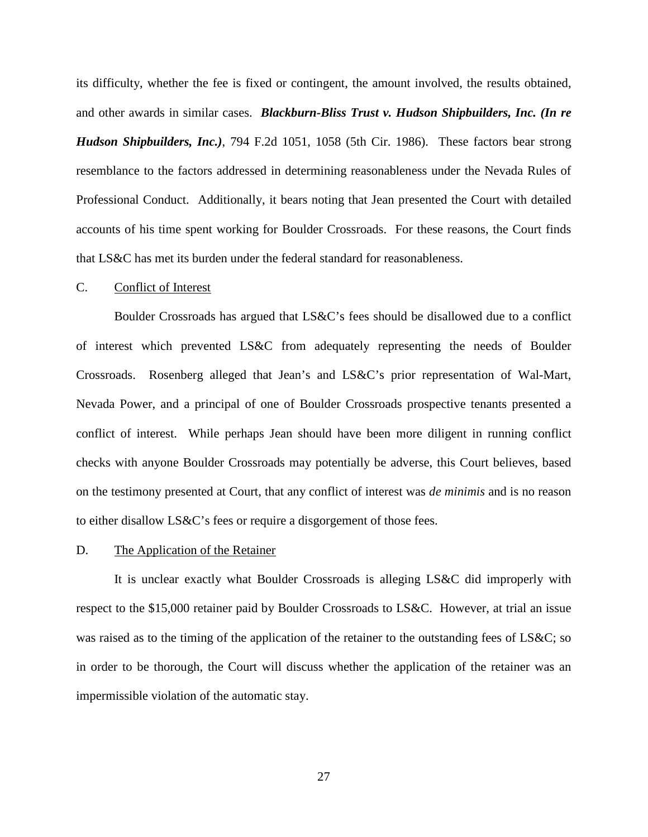its difficulty, whether the fee is fixed or contingent, the amount involved, the results obtained, and other awards in similar cases. *Blackburn-Bliss Trust v. Hudson Shipbuilders, Inc. (In re Hudson Shipbuilders, Inc.)*, 794 F.2d 1051, 1058 (5th Cir. 1986). These factors bear strong resemblance to the factors addressed in determining reasonableness under the Nevada Rules of Professional Conduct. Additionally, it bears noting that Jean presented the Court with detailed accounts of his time spent working for Boulder Crossroads. For these reasons, the Court finds that LS&C has met its burden under the federal standard for reasonableness.

#### $C_{\cdot}$ Conflict of Interest

Boulder Crossroads has argued that LS&C's fees should be disallowed due to a conflict of interest which prevented LS&C from adequately representing the needs of Boulder Crossroads. Rosenberg alleged that Jean's and LS&C's prior representation of Wal-Mart, Nevada Power, and a principal of one of Boulder Crossroads prospective tenants presented a conflict of interest. While perhaps Jean should have been more diligent in running conflict checks with anyone Boulder Crossroads may potentially be adverse, this Court believes, based on the testimony presented at Court, that any conflict of interest was *de minimis* and is no reason to either disallow LS&C's fees or require a disgorgement of those fees.

#### D. The Application of the Retainer

It is unclear exactly what Boulder Crossroads is alleging LS&C did improperly with respect to the \$15,000 retainer paid by Boulder Crossroads to LS&C. However, at trial an issue was raised as to the timing of the application of the retainer to the outstanding fees of LS&C; so in order to be thorough, the Court will discuss whether the application of the retainer was an impermissible violation of the automatic stay.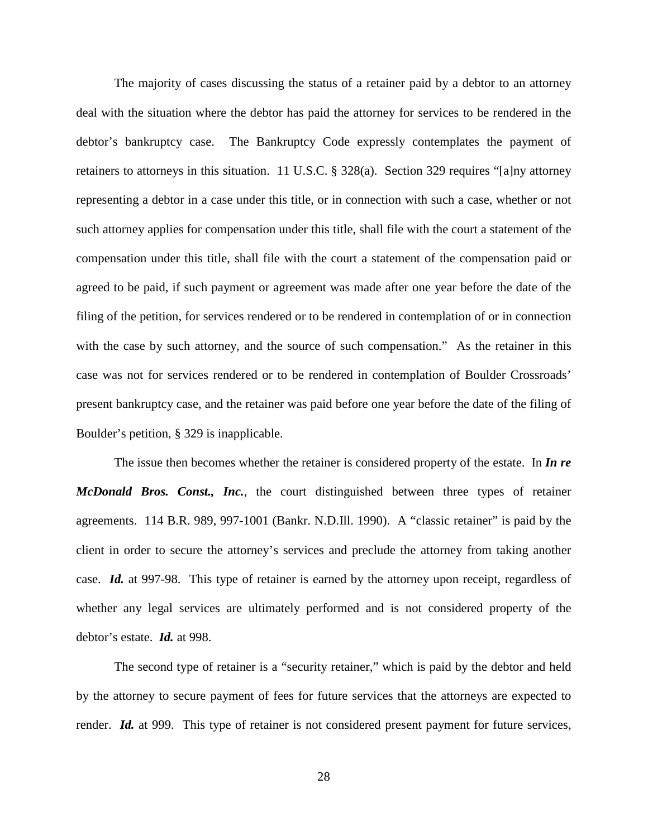The majority of cases discussing the status of a retainer paid by a debtor to an attorney deal with the situation where the debtor has paid the attorney for services to be rendered in the debtor's bankruptcy case. The Bankruptcy Code expressly contemplates the payment of retainers to attorneys in this situation. 11 U.S.C. § 328(a). Section 329 requires "[a]ny attorney representing a debtor in a case under this title, or in connection with such a case, whether or not such attorney applies for compensation under this title, shall file with the court a statement of the compensation under this title, shall file with the court a statement of the compensation paid or agreed to be paid, if such payment or agreement was made after one year before the date of the filing of the petition, for services rendered or to be rendered in contemplation of or in connection with the case by such attorney, and the source of such compensation." As the retainer in this case was not for services rendered or to be rendered in contemplation of Boulder Crossroads' present bankruptcy case, and the retainer was paid before one year before the date of the filing of Boulder's petition, § 329 is inapplicable.

The issue then becomes whether the retainer is considered property of the estate. In *In re McDonald Bros. Const., Inc.*, the court distinguished between three types of retainer agreements. 114 B.R. 989, 997-1001 (Bankr. N.D.Ill. 1990). A "classic retainer" is paid by the client in order to secure the attorney's services and preclude the attorney from taking another case. *Id.* at 997-98. This type of retainer is earned by the attorney upon receipt, regardless of whether any legal services are ultimately performed and is not considered property of the debtor's estate. *Id.* at 998.

The second type of retainer is a "security retainer," which is paid by the debtor and held by the attorney to secure payment of fees for future services that the attorneys are expected to render. *Id.* at 999. This type of retainer is not considered present payment for future services,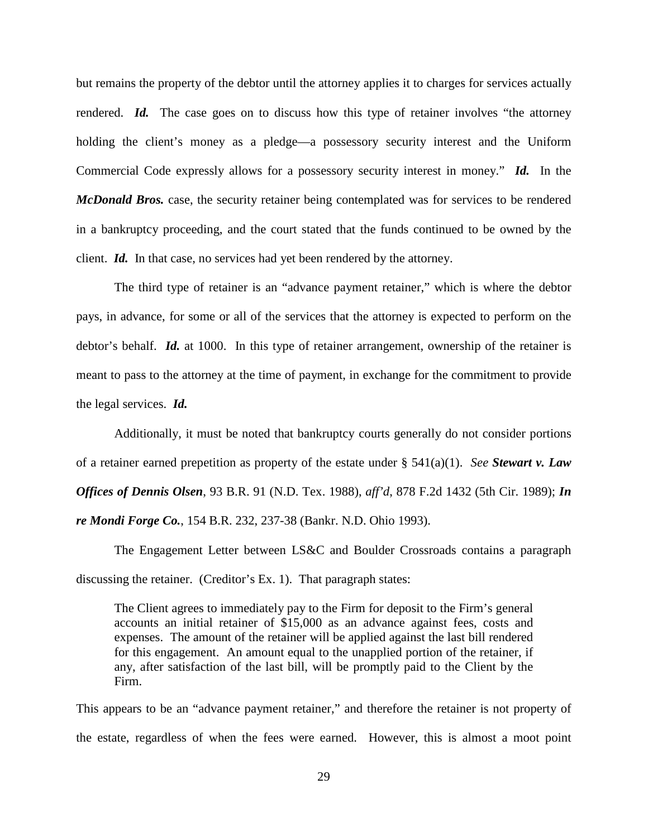but remains the property of the debtor until the attorney applies it to charges for services actually rendered. **Id.** The case goes on to discuss how this type of retainer involves "the attorney" holding the client's money as a pledge—a possessory security interest and the Uniform Commercial Code expressly allows for a possessory security interest in money." *Id.* In the *McDonald Bros.* case, the security retainer being contemplated was for services to be rendered in a bankruptcy proceeding, and the court stated that the funds continued to be owned by the client. *Id.* In that case, no services had yet been rendered by the attorney.

The third type of retainer is an "advance payment retainer," which is where the debtor pays, in advance, for some or all of the services that the attorney is expected to perform on the debtor's behalf. *Id.* at 1000. In this type of retainer arrangement, ownership of the retainer is meant to pass to the attorney at the time of payment, in exchange for the commitment to provide the legal services. *Id.*

Additionally, it must be noted that bankruptcy courts generally do not consider portions of a retainer earned prepetition as property of the estate under § 541(a)(1). *See Stewart v. Law Offices of Dennis Olsen*, 93 B.R. 91 (N.D. Tex. 1988), *aff'd*, 878 F.2d 1432 (5th Cir. 1989); *In re Mondi Forge Co.*, 154 B.R. 232, 237-38 (Bankr. N.D. Ohio 1993).

The Engagement Letter between LS&C and Boulder Crossroads contains a paragraph discussing the retainer. (Creditor's Ex. 1). That paragraph states:

The Client agrees to immediately pay to the Firm for deposit to the Firm's general accounts an initial retainer of \$15,000 as an advance against fees, costs and expenses. The amount of the retainer will be applied against the last bill rendered for this engagement. An amount equal to the unapplied portion of the retainer, if any, after satisfaction of the last bill, will be promptly paid to the Client by the Firm.

This appears to be an "advance payment retainer," and therefore the retainer is not property of the estate, regardless of when the fees were earned. However, this is almost a moot point